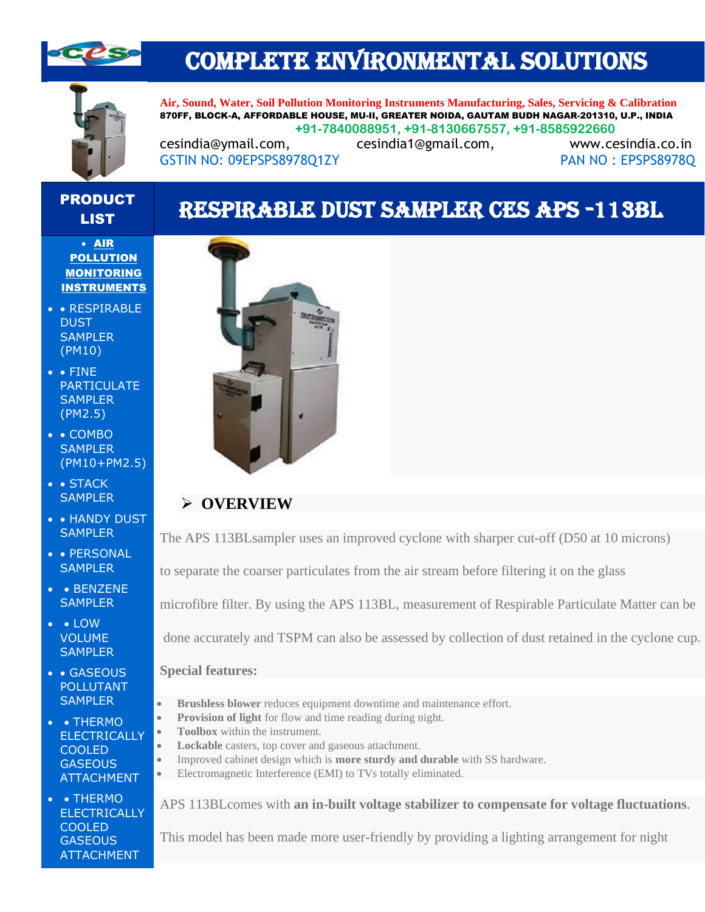

## COMPLETE ENVIRONMENTAL SOLUTIONS



**Air, Sound, Water, Soil Pollution Monitoring Instruments Manufacturing, Sales, Servicing & Calibration** 870FF, BLOCK-A, AFFORDABLE HOUSE, MU-II, GREATER NOIDA, GAUTAM BUDH NAGAR-201310, U.P., INDIA **+91-7840088951, +91-8130667557, +91-8585922660**

[cesindia@ymail.com,](mailto:cesindia@ymail.com) [cesindia1@gmail.com,](mailto:cesindia1@gmail.com) [www.cesindia.co.in](http://www.cesindia.co.in/)  GSTIN NO: 09EPSPS8978O1ZY PAN NO : EPSPS8978O

## PRODUCT LIST RESPIRABLE DUST SAMPLER CES APS -113BL

• AIR **POLLUTION MONITORING** INSTRUMENTS

- • RESPIRABLE **DUST SAMPLER** (PM10)
- • FINE PARTICULATE **SAMPLER** (PM2.5)
- • COMBO **SAMPLER** (PM10+PM2.5)
- • STACK **SAMPLER**
- • HANDY DUST **SAMPLER**
- • PERSONAL **SAMPLER**
- • BENZENE **SAMPLER**
- • LOW VOLUME **SAMPLER**
- • GASEOUS POLLUTANT **SAMPLER**
- • THERMO **ELECTRICALLY COOLED GASEOUS** ATTACHMENT
- • THERMO **ELECTRICALLY** COOLED **GASEOUS** ATTACHMENT



## ➢ **OVERVIEW**

The APS 113BLsampler uses an improved cyclone with sharper cut-off (D50 at 10 microns)

to separate the coarser particulates from the air stream before filtering it on the glass

microfibre filter. By using the APS 113BL, measurement of Respirable Particulate Matter can be

done accurately and TSPM can also be assessed by collection of dust retained in the cyclone cup.

### **Special features:**

- **Brushless blower** reduces equipment downtime and maintenance effort.
- **Provision of light** for flow and time reading during night.
- **Toolbox** within the instrument.
- Lockable casters, top cover and gaseous attachment.
- Improved cabinet design which is **more sturdy and durable** with SS hardware.
- Electromagnetic Interference (EMI) to TVs totally eliminated.

APS 113BLcomes with **an in-built voltage stabilizer to compensate for voltage fluctuations**.

This model has been made more user-friendly by providing a lighting arrangement for night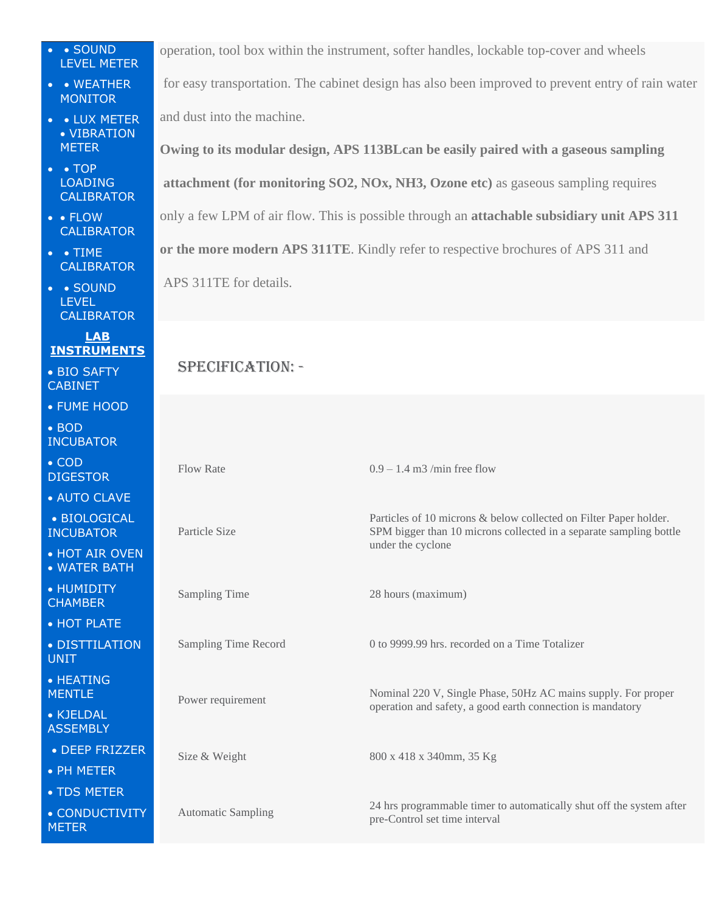| $\bullet$ $\bullet$ SOUND |  |  |
|---------------------------|--|--|
| ILEVEL METER              |  |  |

- • WEATHER **MONITOR**
- • LUX METER • VIBRATION **METER**
- • TOP LOADING **CALIBRATOR**
- • FLOW **CALIBRATOR**
- • TIME **CALIBRATOR**
- • SOUND LEVEL **CALIBRATOR**

**LAB INSTRUMENTS**

• BIO SAFTY **CABINET** 

• FUME HOOD

• BOD INCUBATOR

• COD DIGESTOR

• AUTO CLAVE

• BIOLOGICAL INCUBATOR

• HOT AIR OVEI • WATER BATH

• HUMIDITY **CHAMBER** 

• HOT PLATE

• DISTTILATION UNIT

• HEATING **MENTLE** 

• KJELDAL **ASSEMBLY** 

• DEEP FRIZZE

• PH METER

• TDS METER

 $\bullet$  CONDUCTIVIT **METER** 

operation, tool box within the instrument, softer handles, lockable top-cover and wheels

for easy transportation. The cabinet design has also been improved to prevent entry of rain water

and dust into the machine.

**Owing to its modular design, APS 113BLcan be easily paired with a gaseous sampling attachment (for monitoring SO2, NOx, NH3, Ozone etc)** as gaseous sampling requires only a few LPM of air flow. This is possible through an **attachable subsidiary unit APS 311 or the more modern APS 311TE**. Kindly refer to respective brochures of APS 311 and

APS 311TE for details.

## SPECIFICATION: -

|   | <b>Flow Rate</b>          | $0.9 - 1.4$ m3 /min free flow                                                                                                                                |
|---|---------------------------|--------------------------------------------------------------------------------------------------------------------------------------------------------------|
|   | Particle Size             | Particles of 10 microns & below collected on Filter Paper holder.<br>SPM bigger than 10 microns collected in a separate sampling bottle<br>under the cyclone |
|   | Sampling Time             | 28 hours (maximum)                                                                                                                                           |
|   | Sampling Time Record      | 0 to 9999.99 hrs. recorded on a Time Totalizer                                                                                                               |
|   | Power requirement         | Nominal 220 V, Single Phase, 50Hz AC mains supply. For proper<br>operation and safety, a good earth connection is mandatory                                  |
| R | Size & Weight             | 800 x 418 x 340mm, 35 Kg                                                                                                                                     |
| Ÿ | <b>Automatic Sampling</b> | 24 hrs programmable timer to automatically shut off the system after<br>pre-Control set time interval                                                        |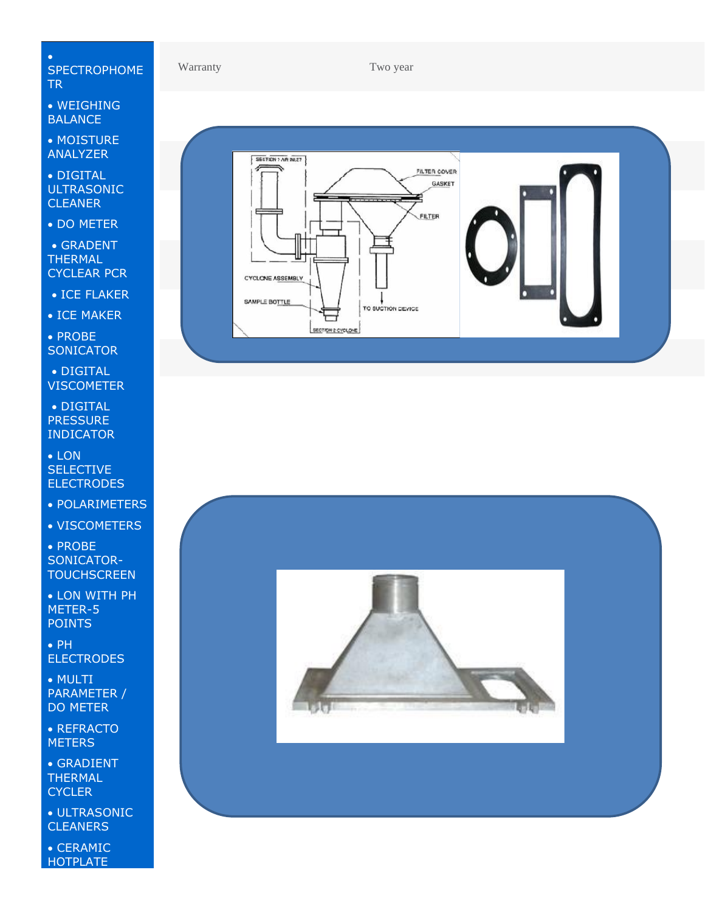#### • SPECTROPHOME TR

• WEIGHING BALANCE

• MOISTURE ANALYZER

• DIGITAL ULTRASONIC **CLEANER** 

• DO METER

• GRADENT THERMAL CYCLEAR PCR

• ICE FLAKER

• ICE MAKER

• PROBE **SONICATOR** 

• DIGITAL **VISCOMETER** 

• DIGITAL **PRESSURE** INDICATOR

• LON **SELECTIVE ELECTRODES** 

• POLARIMETERS

• VISCOMETERS

• PROBE SONICATOR-**TOUCHSCREEN** 

• LON WITH PH METER-5 POINTS

• PH **ELECTRODES** 

• MULTI PARAMETER / DO METER

• REFRACTO **METERS** 

• GRADIENT THERMAL **CYCLER** 

• ULTRASONIC **CLEANERS** 

• CERAMIC HOTPLATE

#### Warranty Two year